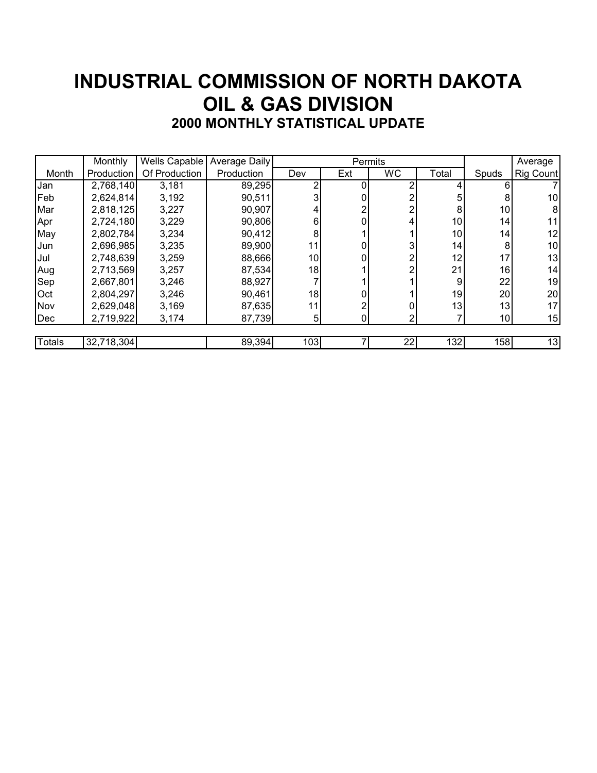### **INDUSTRIAL COMMISSION OF NORTH DAKOTA OIL & GAS DIVISION**

|       | Monthly           | Wells Capable | Average Daily |                 |     | Average        |       |                 |           |
|-------|-------------------|---------------|---------------|-----------------|-----|----------------|-------|-----------------|-----------|
| Month | <b>Production</b> | Of Production | Production    | Dev             | Ext | <b>WC</b>      | Total | Spuds           | Rig Count |
| Jan   | 2,768,140         | 3,181         | 89,295        |                 |     |                |       | 6               |           |
| Feb   | 2,624,814         | 3,192         | 90,511        |                 |     |                | 5     | 8               | 10        |
| Mar   | 2,818,125         | 3,227         | 90,907        |                 |     |                | 8     | 10              | 8         |
| Apr   | 2,724,180         | 3,229         | 90,806        | 6               |     |                | 10    | 14              | 11        |
| May   | 2,802,784         | 3,234         | 90,412        | 8               |     |                | 10    | 14              | 12        |
| Jun   | 2,696,985         | 3,235         | 89,900        | 11              |     | 3              | 14    | 8               | 10        |
| Jul   | 2,748,639         | 3,259         | 88,666        | 10 <sup>1</sup> |     | $\overline{2}$ | 12    | 17              | 13        |
| Aug   | 2,713,569         | 3,257         | 87,534        | 18              |     |                | 21    | 16              | 14        |
| Sep   | 2,667,801         | 3,246         | 88,927        |                 |     |                | 9     | 22              | 19        |
| Oct   | 2,804,297         | 3,246         | 90,461        | 18              |     |                | 19    | 20              | 20        |
| Nov   | 2,629,048         | 3,169         | 87,635        | 11              |     | 0              | 13    | 13              | 17        |
| Dec   | 2,719,922         | 3,174         | 87,739        | 5 <sub>l</sub>  | 0   | 2              |       | 10 <sup>1</sup> | 15        |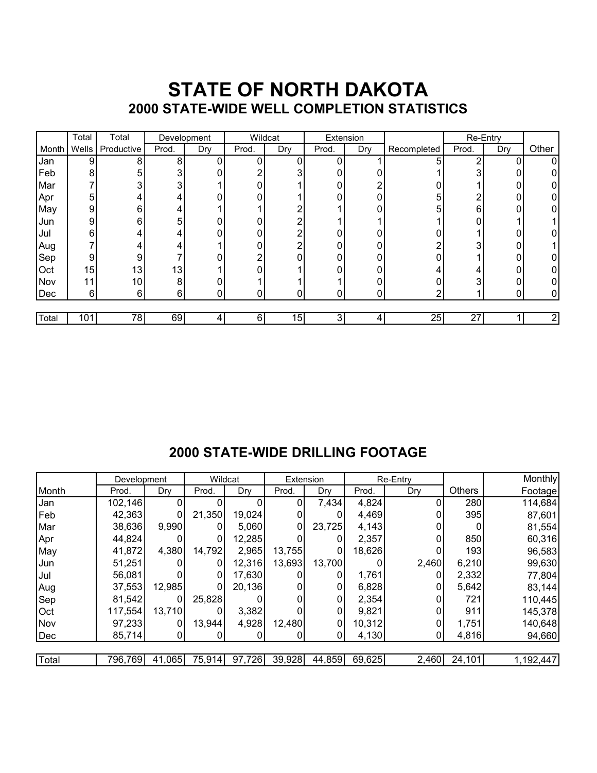## **STATE OF NORTH DAKOTA**

|       | Total | Total      | Development |     | Wildcat |                | Extension |          |             | Re-Entry |     |       |
|-------|-------|------------|-------------|-----|---------|----------------|-----------|----------|-------------|----------|-----|-------|
| Month | Wells | Productive | Prod.       | Dry | Prod.   | Dry            | Prod.     | Dry      | Recompleted | Prod.    | Dry | Other |
| Jan   | 9     | 8          | 8           |     |         |                | 0         |          | 5           |          | 0   |       |
| Feb   | 8     | 5          | 3           |     |         |                |           |          |             |          |     | 0     |
| Mar   | 7     | 3          | 3           |     | O       |                | 0         |          |             |          |     | 01    |
| Apr   | 5     |            |             |     |         |                | U         | $\Omega$ |             |          |     | 0     |
| May   | 9     | 6          | 4           |     |         | 2              |           |          |             | 6        |     | 0     |
| Jun   | 9     | 6          | 5           | 0   |         | 2              |           |          |             |          |     |       |
| Jul   | 6     | 4          | 4           |     |         | $\overline{2}$ | 0         |          |             |          |     | 0     |
| Aug   |       | 4          | 4           |     |         | $\overline{2}$ | 0         |          |             |          |     |       |
| Sep   | 9     | 9          |             |     |         | $\Omega$       | 0         |          |             |          |     | 01    |
| Oct   | 15    | 13         | 13          |     |         |                | 0         |          |             |          |     | 01    |
| Nov   | 11    | 10         | 8           |     |         |                |           |          |             |          |     | 0     |
| Dec   | 6     | 6          | 6           |     | 0       | ŋ              | 0         | N        | n           |          | 0   | 0     |
|       |       |            |             |     |         |                |           |          |             |          |     |       |
| Total | 101   | 78         | 69          | 4   | 6       | 15             | 3         | 4        | 25          | 27       |     | 2     |

### **2000 STATE-WIDE DRILLING FOOTAGE**

| Month | Development |        | Wildcat |        | Extension |        | Re-Entry |       |        | Monthly   |  |
|-------|-------------|--------|---------|--------|-----------|--------|----------|-------|--------|-----------|--|
|       | Prod.       | Dry    | Prod.   | Dry    | Prod.     | Dry    | Prod.    | Dry   | Others | Footage   |  |
| Jan   | 102,146     | 0      | 0       |        | 0         | 7,434  | 4,824    |       | 280    | 114,684   |  |
| Feb   | 42,363      | 0      | 21,350  | 19,024 | 0         | 0      | 4,469    |       | 395    | 87,601    |  |
| Mar   | 38,636      | 9,990  | 0       | 5,060  | 0         | 23,725 | 4,143    |       |        | 81,554    |  |
| Apr   | 44,824      | 0      | 0       | 12,285 | 0         | 0      | 2,357    |       | 850    | 60,316    |  |
| May   | 41,872      | 4,380  | 14,792  | 2,965  | 13,755    | 0      | 18,626   |       | 193    | 96,583    |  |
| Jun   | 51,251      | 0      | 0       | 12,316 | 13,693    | 13,700 |          | 2,460 | 6,210  | 99,630    |  |
| Jul   | 56,081      |        | 0       | 17,630 | 0         |        | 1,761    |       | 2,332  | 77,804    |  |
| Aug   | 37,553      | 12,985 | 0       | 20,136 | 0         | 0      | 6,828    |       | 5,642  | 83,144    |  |
| Sep   | 81,542      | 0      | 25,828  |        | 0         | 0      | 2,354    |       | 721    | 110,445   |  |
| Oct   | 117,554     | 13,710 | 0       | 3,382  | 0         | 0      | 9,821    |       | 911    | 145,378   |  |
| Nov   | 97,233      | 0      | 13,944  | 4,928  | 12,480    | 0      | 10,312   | 0     | 1,751  | 140,648   |  |
| Dec   | 85,714      | 0      | 0       | 0      | 0         | 01     | 4,130    | 0     | 4,816  | 94,660    |  |
|       |             |        |         |        |           |        |          |       |        |           |  |
| Total | 796,769     | 41,065 | 75,914  | 97,726 | 39,928    | 44,859 | 69,625   | 2,460 | 24,101 | 1,192,447 |  |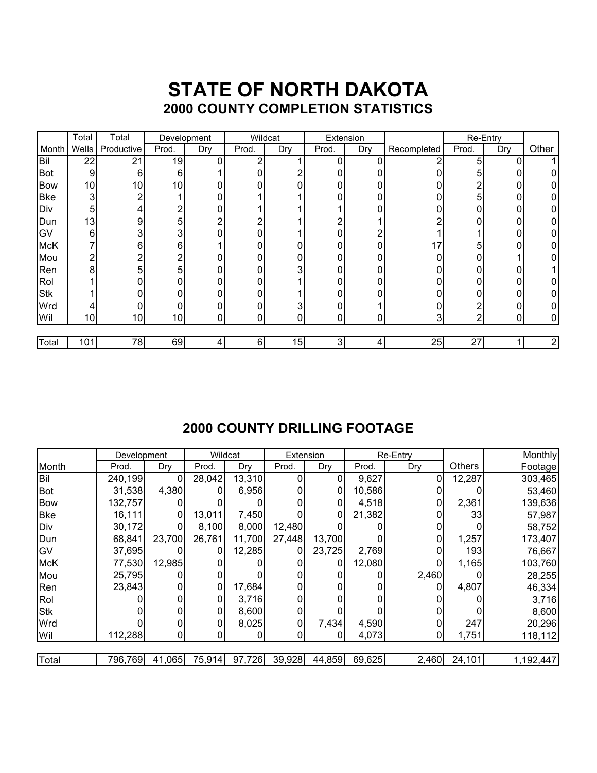# **STATE OF NORTH DAKOTA**

|            | Total          | Total          |                | Development    |                | Wildcat  |       | Extension |             | Re-Entry       |     |                |
|------------|----------------|----------------|----------------|----------------|----------------|----------|-------|-----------|-------------|----------------|-----|----------------|
| Month      | Wells          | Productive     | Prod.          | Dry            | Prod.          | Dry      | Prod. | Dry       | Recompleted | Prod.          | Dry | Other          |
| Bil        | 22             | 21             | 19             | ŋ              | 2              |          | 0     | C         |             | 5              | 0   |                |
| <b>Bot</b> | 9              | 6              | 6              |                | 0              | 2        | 0     |           |             |                |     | 0              |
| <b>Bow</b> | 10             | 10             | 10             | 0              | 0              | $\Omega$ | 0     | 0         |             |                | 0   | 0              |
| <b>Bke</b> | 3              | $\overline{2}$ |                | 0              |                |          | 0     |           |             |                | 0   | $\Omega$       |
| Div        | 5              | 4              | $\overline{2}$ | 0              |                |          |       |           |             |                | 0   | 0              |
| Dun        | 13             | 9              | 5              | $\overline{2}$ | $\overline{c}$ |          |       |           |             |                | 0   | 0              |
| GV         | 6              | 3              | 3              | 0              | 0              |          | 0     | 2         |             |                | 0   | $\overline{0}$ |
| <b>McK</b> | 7              | 6              | 6              |                | 0              | 0        | 0     | 0         | 17          |                |     | 0              |
| Mou        | $\overline{2}$ | $\overline{2}$ | $\overline{2}$ | 0              | 0              | $\Omega$ | 0     |           |             |                |     | 0              |
| Ren        | 8              | 5              | 5              | 0              | 0              | 3        | 0     |           |             |                | 0   |                |
| Rol        |                |                | 0              | 0              | 0              |          | 0     | 0         |             |                | 0   | 0              |
| <b>Stk</b> |                | 0              | 0              | 0              | 0              |          | 0     |           |             |                | 0   | 0              |
| Wrd        | 4              |                | C              | 0              | 0              | 3        | 0     |           |             |                | 0   | 0              |
| Wil        | 10             | 10             | 10             | 0              | 0              | $\Omega$ | 0     | 0         | 3           | $\overline{2}$ | 0   | 0l             |

| Month      | Development |                | Wildcat |        | Extension |        |        | Re-Entry |        | Monthly |  |
|------------|-------------|----------------|---------|--------|-----------|--------|--------|----------|--------|---------|--|
|            | Prod.       | Dry            | Prod.   | Dry    | Prod.     | Dry    | Prod.  | Dry      | Others | Footage |  |
| Bil        | 240,199     | 0              | 28,042  | 13,310 | 0         | 0      | 9,627  | 0        | 12,287 | 303,465 |  |
| <b>Bot</b> | 31,538      | 4,380          |         | 6,956  |           | 0      | 10,586 |          |        | 53,460  |  |
| <b>Bow</b> | 132,757     | 0              | 0       |        | $\Omega$  | 0      | 4,518  | 0        | 2,361  | 139,636 |  |
| <b>Bke</b> | 16,111      | $\overline{0}$ | 13,011  | 7,450  |           | 0      | 21,382 |          | 33     | 57,987  |  |
| Div        | 30,172      | $\Omega$       | 8,100   | 8,000  | 12,480    |        |        | 0        |        | 58,752  |  |
| Dun        | 68,841      | 23,700         | 26,761  | 11,700 | 27,448    | 13,700 |        | 0        | 1,257  | 173,407 |  |
| GV         | 37,695      | 0              | 0       | 12,285 | $\Omega$  | 23,725 | 2,769  |          | 193    | 76,667  |  |
| <b>McK</b> | 77,530      | 12,985         |         |        |           | 0      | 12,080 |          | 1,165  | 103,760 |  |
| Mou        | 25,795      | 0              | 0       |        | 0         |        |        | 2,460    |        | 28,255  |  |
| Ren        | 23,843      | 0              | 0       | 17,684 | 0         |        |        |          | 4,807  | 46,334  |  |
| Rol        |             | 0              | 0       | 3,716  | 0         |        | 0      |          |        | 3,716   |  |
| <b>Stk</b> |             | 0              | 0       | 8,600  | 0         |        | 0      |          |        | 8,600   |  |
| Wrd        |             | $\Omega$       | 0       | 8,025  | $\Omega$  | 7,434  | 4,590  |          | 247    | 20,296  |  |
| Wil        | 112,288     | $\overline{0}$ | 0       | 0      | 0         | 0      | 4,073  | 0        | 1,751  | 118,112 |  |